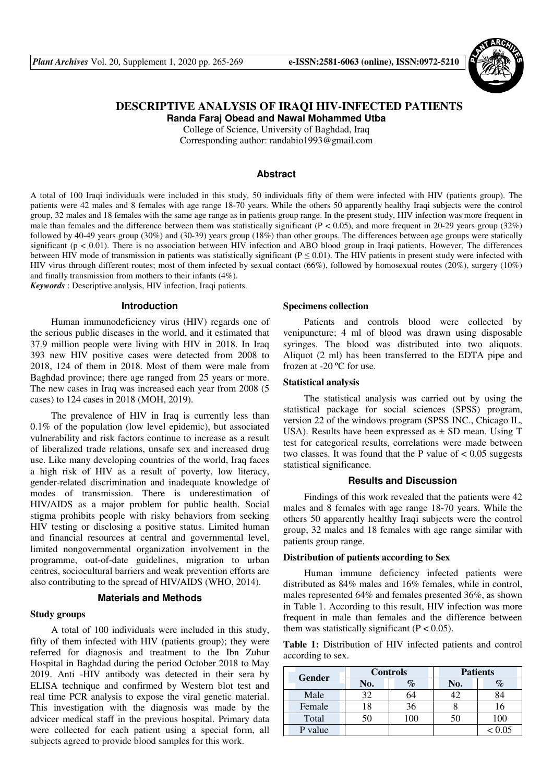

## **DESCRIPTIVE ANALYSIS OF IRAQI HIV-INFECTED PATIENTS Randa Faraj Obead and Nawal Mohammed Utba**

College of Science, University of Baghdad, Iraq Corresponding author: randabio1993@gmail.com

## **Abstract**

A total of 100 Iraqi individuals were included in this study, 50 individuals fifty of them were infected with HIV (patients group). The patients were 42 males and 8 females with age range 18-70 years. While the others 50 apparently healthy Iraqi subjects were the control group, 32 males and 18 females with the same age range as in patients group range. In the present study, HIV infection was more frequent in male than females and the difference between them was statistically significant  $(P < 0.05)$ , and more frequent in 20-29 years group (32%) followed by 40-49 years group (30%) and (30-39) years group (18%) than other groups. The differences between age groups were statically significant ( $p < 0.01$ ). There is no association between HIV infection and ABO blood group in Iraqi patients. However, The differences between HIV mode of transmission in patients was statistically significant ( $P \le 0.01$ ). The HIV patients in present study were infected with HIV virus through different routes; most of them infected by sexual contact (66%), followed by homosexual routes (20%), surgery (10%) and finally transmission from mothers to their infants (4%).

*Keywords* : Descriptive analysis, HIV infection, Iraqi patients.

#### **Introduction**

Human immunodeficiency virus (HIV) regards one of the serious public diseases in the world, and it estimated that 37.9 million people were living with HIV in 2018. In Iraq 393 new HIV positive cases were detected from 2008 to 2018, 124 of them in 2018. Most of them were male from Baghdad province; there age ranged from 25 years or more. The new cases in Iraq was increased each year from 2008 (5 cases) to 124 cases in 2018 (MOH, 2019).

The prevalence of HIV in Iraq is currently less than 0.1% of the population (low level epidemic), but associated vulnerability and risk factors continue to increase as a result of liberalized trade relations, unsafe sex and increased drug use. Like many developing countries of the world, Iraq faces a high risk of HIV as a result of poverty, low literacy, gender-related discrimination and inadequate knowledge of modes of transmission. There is underestimation of HIV/AIDS as a major problem for public health. Social stigma prohibits people with risky behaviors from seeking HIV testing or disclosing a positive status. Limited human and financial resources at central and governmental level, limited nongovernmental organization involvement in the programme, out-of-date guidelines, migration to urban centres, sociocultural barriers and weak prevention efforts are also contributing to the spread of HIV/AIDS (WHO, 2014).

## **Materials and Methods**

#### **Study groups**

A total of 100 individuals were included in this study, fifty of them infected with HIV (patients group); they were referred for diagnosis and treatment to the Ibn Zuhur Hospital in Baghdad during the period October 2018 to May 2019. Anti -HIV antibody was detected in their sera by ELISA technique and confirmed by Western blot test and real time PCR analysis to expose the viral genetic material. This investigation with the diagnosis was made by the advicer medical staff in the previous hospital. Primary data were collected for each patient using a special form, all subjects agreed to provide blood samples for this work.

#### **Specimens collection**

Patients and controls blood were collected by venipuncture; 4 ml of blood was drawn using disposable syringes. The blood was distributed into two aliquots. Aliquot (2 ml) has been transferred to the EDTA pipe and frozen at -20 ºC for use.

### **Statistical analysis**

The statistical analysis was carried out by using the statistical package for social sciences (SPSS) program, version 22 of the windows program (SPSS INC., Chicago IL, USA). Results have been expressed as  $\pm$  SD mean. Using T test for categorical results, correlations were made between two classes. It was found that the P value of  $\lt$  0.05 suggests statistical significance.

## **Results and Discussion**

Findings of this work revealed that the patients were 42 males and 8 females with age range 18-70 years. While the others 50 apparently healthy Iraqi subjects were the control group, 32 males and 18 females with age range similar with patients group range.

#### **Distribution of patients according to Sex**

Human immune deficiency infected patients were distributed as 84% males and 16% females, while in control, males represented 64% and females presented 36%, as shown in Table 1. According to this result, HIV infection was more frequent in male than females and the difference between them was statistically significant  $(P < 0.05)$ .

**Table 1:** Distribution of HIV infected patients and control according to sex.

| <b>Gender</b> | <b>Controls</b> |    | <b>Patients</b> |        |
|---------------|-----------------|----|-----------------|--------|
|               | No.             | %  | No.             |        |
| Male          | 32              | 64 | 42              |        |
| Female        | 18              | 36 |                 | .6     |
| Total         |                 |    |                 | 100    |
| P value       |                 |    |                 | < 0.05 |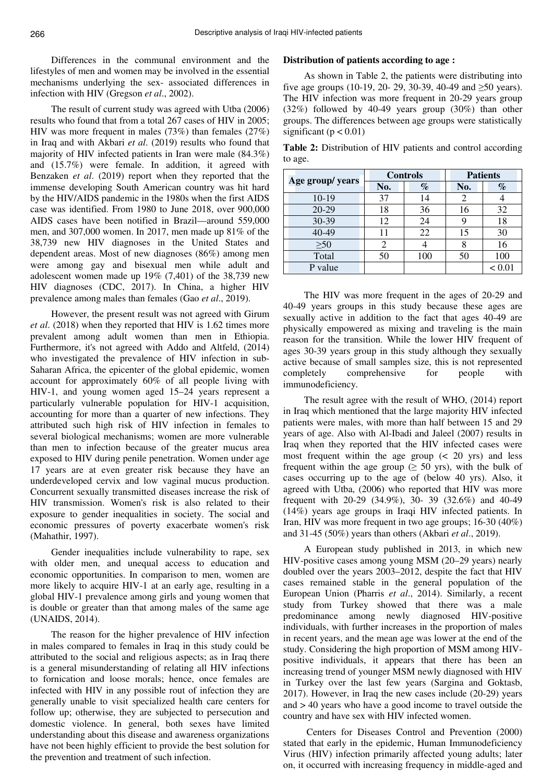Differences in the communal environment and the lifestyles of men and women may be involved in the essential mechanisms underlying the sex- associated differences in infection with HIV (Gregson *et al*., 2002).

The result of current study was agreed with Utba (2006) results who found that from a total 267 cases of HIV in 2005; HIV was more frequent in males (73%) than females (27%) in Iraq and with Akbari *et al*. (2019) results who found that majority of HIV infected patients in Iran were male (84.3%) and (15.7%) were female. In addition, it agreed with Benzaken *et al*. (2019) report when they reported that the immense developing South American country was hit hard by the HIV/AIDS pandemic in the 1980s when the first AIDS case was identified. From 1980 to June 2018, over 900,000 AIDS cases have been notified in Brazil—around 559,000 men, and 307,000 women. In 2017, men made up 81% of the 38,739 new HIV diagnoses in the United States and dependent areas. Most of new diagnoses (86%) among men were among gay and bisexual men while adult and adolescent women made up 19% (7,401) of the 38,739 new HIV diagnoses (CDC, 2017). In China, a higher HIV prevalence among males than females (Gao *et al*., 2019).

However, the present result was not agreed with Girum *et al*. (2018) when they reported that HIV is 1.62 times more prevalent among adult women than men in Ethiopia. Furthermore, it's not agreed with Addo and Altfeld, (2014) who investigated the prevalence of HIV infection in sub-Saharan Africa, the epicenter of the global epidemic, women account for approximately 60% of all people living with HIV-1, and young women aged 15–24 years represent a particularly vulnerable population for HIV-1 acquisition, accounting for more than a quarter of new infections. They attributed such high risk of HIV infection in females to several biological mechanisms; women are more vulnerable than men to infection because of the greater mucus area exposed to HIV during penile penetration. Women under age 17 years are at even greater risk because they have an underdeveloped cervix and low vaginal mucus production. Concurrent sexually transmitted diseases increase the risk of HIV transmission. Women's risk is also related to their exposure to gender inequalities in society. The social and economic pressures of poverty exacerbate women's risk (Mahathir, 1997).

Gender inequalities include vulnerability to rape, sex with older men, and unequal access to education and economic opportunities. In comparison to men, women are more likely to acquire HIV-1 at an early age, resulting in a global HIV-1 prevalence among girls and young women that is double or greater than that among males of the same age (UNAIDS, 2014).

The reason for the higher prevalence of HIV infection in males compared to females in Iraq in this study could be attributed to the social and religious aspects; as in Iraq there is a general misunderstanding of relating all HIV infections to fornication and loose morals; hence, once females are infected with HIV in any possible rout of infection they are generally unable to visit specialized health care centers for follow up; otherwise, they are subjected to persecution and domestic violence. In general, both sexes have limited understanding about this disease and awareness organizations have not been highly efficient to provide the best solution for the prevention and treatment of such infection.

### **Distribution of patients according to age :**

As shown in Table 2, the patients were distributing into five age groups (10-19, 20- 29, 30-39, 40-49 and  $\geq 50$  years). The HIV infection was more frequent in 20-29 years group (32%) followed by 40-49 years group (30%) than other groups. The differences between age groups were statistically significant ( $p < 0.01$ )

**Table 2:** Distribution of HIV patients and control according to age.

| Age group/ years | <b>Controls</b> |      | <b>Patients</b> |        |
|------------------|-----------------|------|-----------------|--------|
|                  | No.             | $\%$ | No.             | $\%$   |
| 10-19            | 37              | 14   | 2               |        |
| 20-29            | 18              | 36   | 16              | 32     |
| 30-39            | 12              | 24   | 9               | 18     |
| 40-49            | 11              | 22   | 15              | 30     |
| $\geq 50$        | 2               |      |                 | 16     |
| Total            | 50              | 100  | 50              | 100    |
| P value          |                 |      |                 | < 0.01 |

The HIV was more frequent in the ages of 20-29 and 40-49 years groups in this study because these ages are sexually active in addition to the fact that ages 40-49 are physically empowered as mixing and traveling is the main reason for the transition. While the lower HIV frequent of ages 30-39 years group in this study although they sexually active because of small samples size, this is not represented completely comprehensive for people with immunodeficiency.

The result agree with the result of WHO, (2014) report in Iraq which mentioned that the large majority HIV infected patients were males, with more than half between 15 and 29 years of age. Also with Al-Ibadi and Jaleel (2007) results in Iraq when they reported that the HIV infected cases were most frequent within the age group  $( $20$  yrs) and less$ frequent within the age group ( $\geq$  50 yrs), with the bulk of cases occurring up to the age of (below 40 yrs). Also, it agreed with Utba, (2006) who reported that HIV was more frequent with 20-29 (34.9%), 30- 39 (32.6%) and 40-49 (14%) years age groups in Iraqi HIV infected patients. In Iran, HIV was more frequent in two age groups; 16-30 (40%) and 31-45 (50%) years than others (Akbari *et al*., 2019).

A European study published in 2013, in which new HIV-positive cases among young MSM (20–29 years) nearly doubled over the years 2003–2012, despite the fact that HIV cases remained stable in the general population of the European Union (Pharris *et al*., 2014). Similarly, a recent study from Turkey showed that there was a male predominance among newly diagnosed HIV-positive individuals, with further increases in the proportion of males in recent years, and the mean age was lower at the end of the study. Considering the high proportion of MSM among HIVpositive individuals, it appears that there has been an increasing trend of younger MSM newly diagnosed with HIV in Turkey over the last few years (Sargina and Goktasb, 2017). However, in Iraq the new cases include (20-29) years and > 40 years who have a good income to travel outside the country and have sex with HIV infected women.

 Centers for Diseases Control and Prevention (2000) stated that early in the epidemic, Human Immunodeficiency Virus (HIV) infection primarily affected young adults; later on, it occurred with increasing frequency in middle-aged and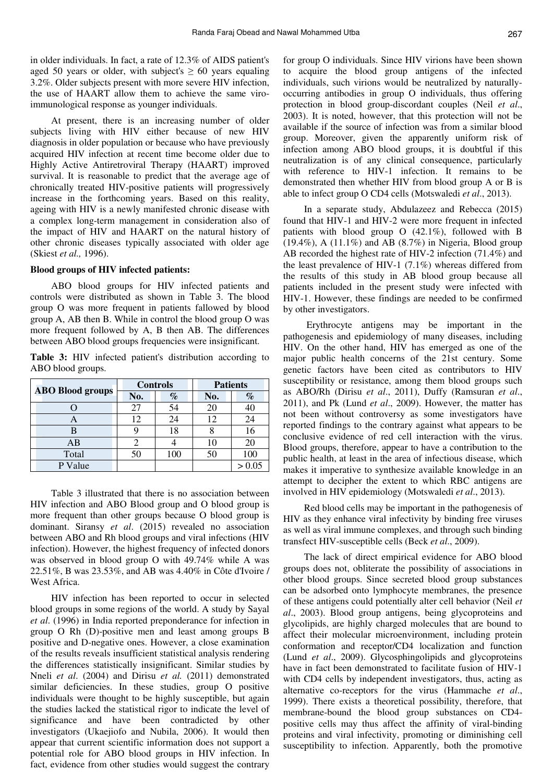in older individuals. In fact, a rate of 12.3% of AIDS patient's aged 50 years or older, with subject's  $\geq 60$  years equaling 3.2%. Older subjects present with more severe HIV infection, the use of HAART allow them to achieve the same viroimmunological response as younger individuals.

At present, there is an increasing number of older subjects living with HIV either because of new HIV diagnosis in older population or because who have previously acquired HIV infection at recent time become older due to Highly Active Antiretroviral Therapy (HAART) improved survival. It is reasonable to predict that the average age of chronically treated HIV-positive patients will progressively increase in the forthcoming years. Based on this reality, ageing with HIV is a newly manifested chronic disease with a complex long-term management in consideration also of the impact of HIV and HAART on the natural history of other chronic diseases typically associated with older age (Skiest *et al.,* 1996).

## **Blood groups of HIV infected patients:**

ABO blood groups for HIV infected patients and controls were distributed as shown in Table 3. The blood group O was more frequent in patients fallowed by blood group A, AB then B. While in control the blood group O was more frequent followed by A, B then AB. The differences between ABO blood groups frequencies were insignificant.

**Table 3:** HIV infected patient's distribution according to ABO blood groups.

| <b>ABO Blood groups</b> | <b>Controls</b> |      | <b>Patients</b> |        |
|-------------------------|-----------------|------|-----------------|--------|
|                         | No.             | $\%$ | No.             | $\%$   |
|                         |                 | 54   | 20              | 40     |
|                         | 12              | 24   | 12              | 24     |
|                         |                 | 18   |                 |        |
| AВ                      |                 |      | 10              | 20     |
| Total                   |                 | 100  | 50              | 100    |
| P Value                 |                 |      |                 | > 0.05 |

Table 3 illustrated that there is no association between HIV infection and ABO Blood group and O blood group is more frequent than other groups because O blood group is dominant. Siransy *et al*. (2015) revealed no association between ABO and Rh blood groups and viral infections (HIV infection). However, the highest frequency of infected donors was observed in blood group O with 49.74% while A was 22.51%, B was 23.53%, and AB was 4.40% in Côte d'Ivoire / West Africa.

HIV infection has been reported to occur in selected blood groups in some regions of the world. A study by Sayal *et al*. (1996) in India reported preponderance for infection in group O Rh (D)-positive men and least among groups B positive and D-negative ones. However, a close examination of the results reveals insufficient statistical analysis rendering the differences statistically insignificant. Similar studies by Nneli *et al*. (2004) and Dirisu *et al.* (2011) demonstrated similar deficiencies. In these studies, group O positive individuals were thought to be highly susceptible, but again the studies lacked the statistical rigor to indicate the level of significance and have been contradicted by other investigators (Ukaejiofo and Nubila, 2006). It would then appear that current scientific information does not support a potential role for ABO blood groups in HIV infection. In fact, evidence from other studies would suggest the contrary

for group O individuals. Since HIV virions have been shown to acquire the blood group antigens of the infected individuals, such virions would be neutralized by naturallyoccurring antibodies in group O individuals, thus offering protection in blood group-discordant couples (Neil *et al*., 2003). It is noted, however, that this protection will not be available if the source of infection was from a similar blood group. Moreover, given the apparently uniform risk of infection among ABO blood groups, it is doubtful if this neutralization is of any clinical consequence, particularly with reference to HIV-1 infection. It remains to be demonstrated then whether HIV from blood group A or B is able to infect group O CD4 cells (Motswaledi *et al*., 2013).

In a separate study, Abdulazeez and Rebecca (2015) found that HIV-1 and HIV-2 were more frequent in infected patients with blood group O (42.1%), followed with B  $(19.4\%)$ , A  $(11.1\%)$  and AB  $(8.7\%)$  in Nigeria, Blood group AB recorded the highest rate of HIV-2 infection (71.4%) and the least prevalence of HIV-1 (7.1%) whereas differed from the results of this study in AB blood group because all patients included in the present study were infected with HIV-1. However, these findings are needed to be confirmed by other investigators.

 Erythrocyte antigens may be important in the pathogenesis and epidemiology of many diseases, including HIV. On the other hand, HIV has emerged as one of the major public health concerns of the 21st century. Some genetic factors have been cited as contributors to HIV susceptibility or resistance, among them blood groups such as ABO/Rh (Dirisu *et al*., 2011), Duffy (Ramsuran *et al*., 2011), and Pk (Lund *et al*., 2009). However, the matter has not been without controversy as some investigators have reported findings to the contrary against what appears to be conclusive evidence of red cell interaction with the virus. Blood groups, therefore, appear to have a contribution to the public health, at least in the area of infectious disease, which makes it imperative to synthesize available knowledge in an attempt to decipher the extent to which RBC antigens are involved in HIV epidemiology (Motswaledi *et al*., 2013).

Red blood cells may be important in the pathogenesis of HIV as they enhance viral infectivity by binding free viruses as well as viral immune complexes, and through such binding transfect HIV-susceptible cells (Beck *et al*., 2009).

The lack of direct empirical evidence for ABO blood groups does not, obliterate the possibility of associations in other blood groups. Since secreted blood group substances can be adsorbed onto lymphocyte membranes, the presence of these antigens could potentially alter cell behavior (Neil *et al*., 2003). Blood group antigens, being glycoproteins and glycolipids, are highly charged molecules that are bound to affect their molecular microenvironment, including protein conformation and receptor/CD4 localization and function (Lund *et al*., 2009). Glycosphingolipids and glycoproteins have in fact been demonstrated to facilitate fusion of HIV-1 with CD4 cells by independent investigators, thus, acting as alternative co-receptors for the virus (Hammache *et al*., 1999). There exists a theoretical possibility, therefore, that membrane-bound the blood group substances on CD4 positive cells may thus affect the affinity of viral-binding proteins and viral infectivity, promoting or diminishing cell susceptibility to infection. Apparently, both the promotive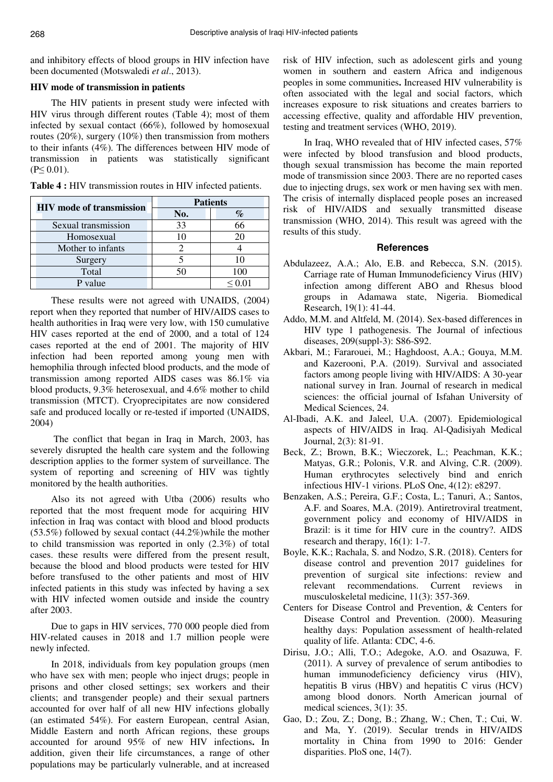and inhibitory effects of blood groups in HIV infection have been documented (Motswaledi *et al*., 2013).

# **HIV mode of transmission in patients**

The HIV patients in present study were infected with HIV virus through different routes (Table 4); most of them infected by sexual contact (66%), followed by homosexual routes (20%), surgery (10%) then transmission from mothers to their infants (4%). The differences between HIV mode of transmission in patients was statistically significant  $(P< 0.01)$ .

| <b>HIV</b> mode of transmission | <b>Patients</b> |     |  |
|---------------------------------|-----------------|-----|--|
|                                 | No.             |     |  |
| Sexual transmission             | 33              |     |  |
| Homosexual                      |                 |     |  |
| Mother to infants               |                 |     |  |
| Surgery                         |                 |     |  |
| Total                           |                 | 100 |  |
| value                           |                 |     |  |

**Table 4 :** HIV transmission routes in HIV infected patients.

These results were not agreed with UNAIDS, (2004) report when they reported that number of HIV/AIDS cases to health authorities in Iraq were very low, with 150 cumulative HIV cases reported at the end of 2000, and a total of 124 cases reported at the end of 2001. The majority of HIV infection had been reported among young men with hemophilia through infected blood products, and the mode of transmission among reported AIDS cases was 86.1% via blood products, 9.3% heterosexual, and 4.6% mother to child transmission (MTCT). Cryoprecipitates are now considered safe and produced locally or re-tested if imported (UNAIDS, 2004)

The conflict that began in Iraq in March, 2003, has severely disrupted the health care system and the following description applies to the former system of surveillance. The system of reporting and screening of HIV was tightly monitored by the health authorities.

Also its not agreed with Utba (2006) results who reported that the most frequent mode for acquiring HIV infection in Iraq was contact with blood and blood products (53.5%) followed by sexual contact (44.2%)while the mother to child transmission was reported in only (2.3%) of total cases. these results were differed from the present result, because the blood and blood products were tested for HIV before transfused to the other patients and most of HIV infected patients in this study was infected by having a sex with HIV infected women outside and inside the country after 2003.

Due to gaps in HIV services, 770 000 people died from HIV-related causes in 2018 and 1.7 million people were newly infected.

In 2018, individuals from key population groups (men who have sex with men; people who inject drugs; people in prisons and other closed settings; sex workers and their clients; and transgender people) and their sexual partners accounted for over half of all new HIV infections globally (an estimated 54%). For eastern European, central Asian, Middle Eastern and north African regions, these groups accounted for around 95% of new HIV infections. In addition, given their life circumstances, a range of other populations may be particularly vulnerable, and at increased risk of HIV infection, such as adolescent girls and young women in southern and eastern Africa and indigenous peoples in some communities. Increased HIV vulnerability is often associated with the legal and social factors, which increases exposure to risk situations and creates barriers to accessing effective, quality and affordable HIV prevention, testing and treatment services (WHO, 2019).

In Iraq, WHO revealed that of HIV infected cases, 57% were infected by blood transfusion and blood products, though sexual transmission has become the main reported mode of transmission since 2003. There are no reported cases due to injecting drugs, sex work or men having sex with men. The crisis of internally displaced people poses an increased risk of HIV/AIDS and sexually transmitted disease transmission (WHO, 2014). This result was agreed with the results of this study.

### **References**

- Abdulazeez, A.A.; Alo, E.B. and Rebecca, S.N. (2015). Carriage rate of Human Immunodeficiency Virus (HIV) infection among different ABO and Rhesus blood groups in Adamawa state, Nigeria. Biomedical Research, 19(1): 41-44.
- Addo, M.M. and Altfeld, M. (2014). Sex-based differences in HIV type 1 pathogenesis. The Journal of infectious diseases, 209(suppl-3): S86-S92.
- Akbari, M.; Fararouei, M.; Haghdoost, A.A.; Gouya, M.M. and Kazerooni, P.A. (2019). Survival and associated factors among people living with HIV/AIDS: A 30-year national survey in Iran. Journal of research in medical sciences: the official journal of Isfahan University of Medical Sciences, 24.
- Al-Ibadi, A.K. and Jaleel, U.A. (2007). Epidemiological aspects of HIV/AIDS in Iraq. Al-Qadisiyah Medical Journal, 2(3): 81-91.
- Beck, Z.; Brown, B.K.; Wieczorek, L.; Peachman, K.K.; Matyas, G.R.; Polonis, V.R. and Alving, C.R. (2009). Human erythrocytes selectively bind and enrich infectious HIV-1 virions. PLoS One, 4(12): e8297.
- Benzaken, A.S.; Pereira, G.F.; Costa, L.; Tanuri, A.; Santos, A.F. and Soares, M.A. (2019). Antiretroviral treatment, government policy and economy of HIV/AIDS in Brazil: is it time for HIV cure in the country?. AIDS research and therapy, 16(1): 1-7.
- Boyle, K.K.; Rachala, S. and Nodzo, S.R. (2018). Centers for disease control and prevention 2017 guidelines for prevention of surgical site infections: review and relevant recommendations. Current reviews in musculoskeletal medicine, 11(3): 357-369.
- Centers for Disease Control and Prevention, & Centers for Disease Control and Prevention. (2000). Measuring healthy days: Population assessment of health-related quality of life. Atlanta: CDC, 4-6.
- Dirisu, J.O.; Alli, T.O.; Adegoke, A.O. and Osazuwa, F. (2011). A survey of prevalence of serum antibodies to human immunodeficiency deficiency virus (HIV), hepatitis B virus (HBV) and hepatitis C virus (HCV) among blood donors. North American journal of medical sciences, 3(1): 35.
- Gao, D.; Zou, Z.; Dong, B.; Zhang, W.; Chen, T.; Cui, W. and Ma, Y. (2019). Secular trends in HIV/AIDS mortality in China from 1990 to 2016: Gender disparities. PloS one, 14(7).